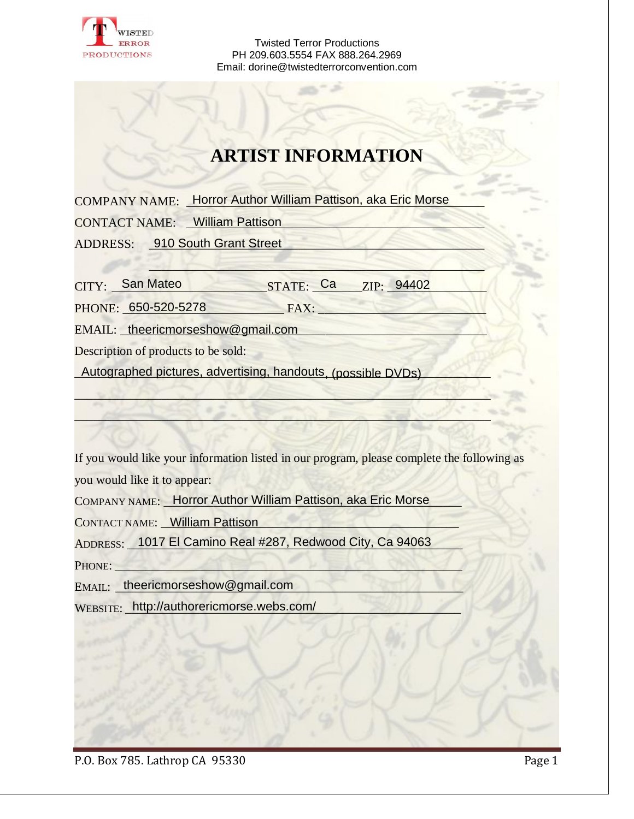

Twisted Terror Productions PH 209.603.5554 FAX 888.264.2969 Email: dorine@twistedterrorconvention.com

## **ARTIST INFORMATION**

\_\_\_\_\_\_\_\_\_\_\_\_\_\_\_\_\_\_\_\_\_\_\_\_\_\_\_\_\_\_\_\_\_\_\_\_\_\_\_\_\_\_\_\_\_\_\_\_\_\_\_\_\_\_

COMPANY NAME: Lorror Author William Pattison, aka Eric Morse

CONTACT NAME: William Pattison

ADDRESS: 910 South Grant Street

CITY: San Mateo **Cannets** STATE: Cannets 2IP: 24402

 $\text{FAX:}$ PHONE: 650-520-5278

EMAIL: theericmorseshow@gmail.com entitled and all control of the entitled and all control of the entries of the entries of the entries of the entries of the entries of the entries of the entries of the entries of the entr

Description of products to be sold:

Autographed pictures, advertising, handouts, (possible DVDs)

If you would like your information listed in our program, please complete the following as

 $\mathbb{E}[\mathbb{E}[\mathbf{X}] \times \mathbb{E}[\mathbf{X}] \times \mathbb{E}[\mathbf{X}] \times \mathbb{E}[\mathbf{X}] \times \mathbb{E}[\mathbf{X}]$ 

 $\frac{1}{2}$ 

you would like it to appear:

COMPANY NAME: Horror Author William Pattison, aka Eric Morse

CONTACT NAME: \_\_\_\_\_\_\_\_\_\_\_\_\_\_\_\_\_\_\_\_\_\_\_\_\_\_\_\_\_\_\_\_\_\_\_\_\_\_\_\_\_\_\_\_\_\_\_\_ William Pattison

ADDRESS: 1017 El Camino Real #287, Redwood City, Ca 94063

PHONE:

EMAIL: theericmorseshow@gmail.com

WEBSITE: http://authorericmorse.webs.com/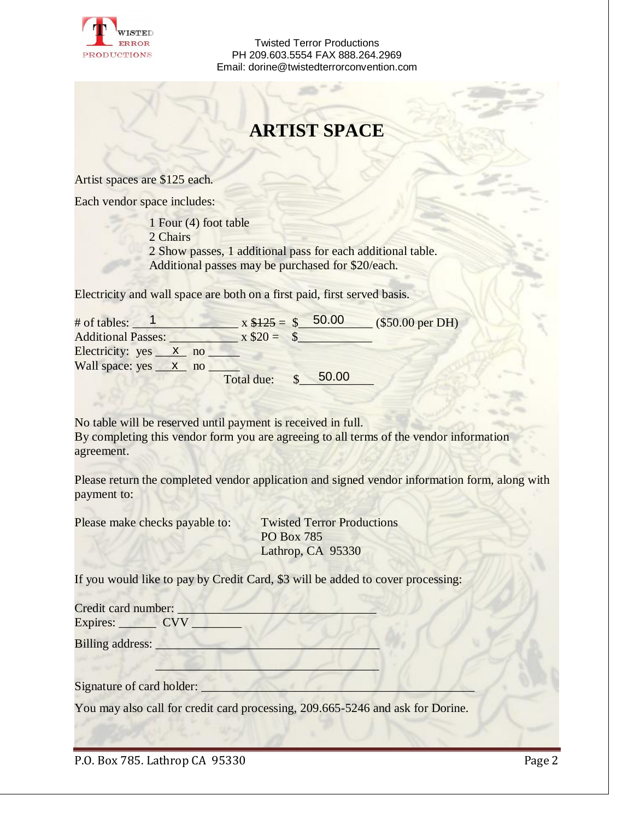

Twisted Terror Productions PH 209.603.5554 FAX 888.264.2969 Email: dorine@twistedterrorconvention.com

## **ARTIST SPACE**

Artist spaces are \$125 each.

Each vendor space includes:

- 1 Four (4) foot table
- 2 Chairs

2 Show passes, 1 additional pass for each additional table. Additional passes may be purchased for \$20/each.

Electricity and wall space are both on a first paid, first served basis.

| # of tables:                     |               | $x $125 = $$ 50.00 | $($50.00$ per DH) |
|----------------------------------|---------------|--------------------|-------------------|
| <b>Additional Passes:</b>        | $x \$20 = \$$ |                    |                   |
| Electricity: $yes \_ x \_ no \_$ |               |                    |                   |
| Wall space: $yes \times no$      |               |                    |                   |
|                                  | Total due:    | 50.00              |                   |

No table will be reserved until payment is received in full. By completing this vendor form you are agreeing to all terms of the vendor information agreement.

Please return the completed vendor application and signed vendor information form, along with payment to:

Please make checks payable to: Twisted Terror Productions

PO Box 785 Lathrop, CA 95330

If you would like to pay by Credit Card, \$3 will be added to cover processing:

| Credit card number:<br>Expires: CVV |  |
|-------------------------------------|--|
| <b>Billing address:</b>             |  |
| Signature of card holder:           |  |

You may also call for credit card processing, 209.665-5246 and ask for Dorine.